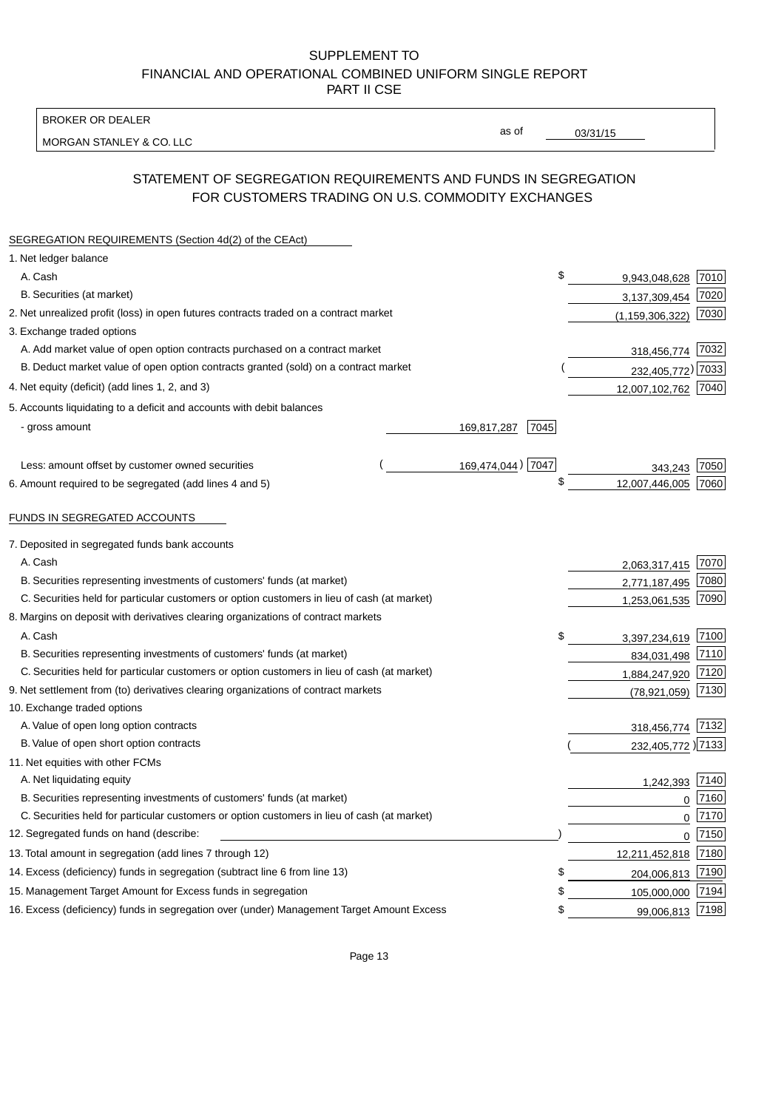BROKER OR DEALER

MORGAN STANLEY & CO. LLC

03/31/15

as of

# STATEMENT OF SEGREGATION REQUIREMENTS AND FUNDS IN SEGREGATION FOR CUSTOMERS TRADING ON U.S. COMMODITY EXCHANGES

| SEGREGATION REQUIREMENTS (Section 4d(2) of the CEAct)                                       |                     |                     |          |
|---------------------------------------------------------------------------------------------|---------------------|---------------------|----------|
| 1. Net ledger balance                                                                       |                     |                     |          |
| A. Cash                                                                                     | \$                  | 9,943,048,628       | 7010     |
| B. Securities (at market)                                                                   |                     | 3,137,309,454       | 7020     |
| 2. Net unrealized profit (loss) in open futures contracts traded on a contract market       |                     | (1, 159, 306, 322)  | 7030     |
| 3. Exchange traded options                                                                  |                     |                     |          |
| A. Add market value of open option contracts purchased on a contract market                 |                     | 318,456,774 7032    |          |
| B. Deduct market value of open option contracts granted (sold) on a contract market         |                     | 232,405,772) 7033   |          |
| 4. Net equity (deficit) (add lines 1, 2, and 3)                                             |                     | 12,007,102,762 7040 |          |
| 5. Accounts liquidating to a deficit and accounts with debit balances                       |                     |                     |          |
| - gross amount                                                                              | 169,817,287<br>7045 |                     |          |
|                                                                                             |                     |                     |          |
| Less: amount offset by customer owned securities                                            | 169,474,044) 7047   | 343.243             | 7050     |
| 6. Amount required to be segregated (add lines 4 and 5)                                     | \$                  | 12,007,446,005      | 7060     |
|                                                                                             |                     |                     |          |
| FUNDS IN SEGREGATED ACCOUNTS                                                                |                     |                     |          |
| 7. Deposited in segregated funds bank accounts                                              |                     |                     |          |
| A. Cash                                                                                     |                     | 2,063,317,415       | 7070     |
| B. Securities representing investments of customers' funds (at market)                      |                     | 2,771,187,495       | 7080     |
| C. Securities held for particular customers or option customers in lieu of cash (at market) |                     | 1,253,061,535       | 7090     |
| 8. Margins on deposit with derivatives clearing organizations of contract markets           |                     |                     |          |
| A. Cash                                                                                     | \$                  | 3,397,234,619       | 7100     |
| B. Securities representing investments of customers' funds (at market)                      |                     | 834,031,498         | 7110     |
| C. Securities held for particular customers or option customers in lieu of cash (at market) |                     | 1,884,247,920       | 7120     |
| 9. Net settlement from (to) derivatives clearing organizations of contract markets          |                     | (78, 921, 059)      | 7130     |
| 10. Exchange traded options                                                                 |                     |                     |          |
| A. Value of open long option contracts                                                      |                     | 318,456,774 7132    |          |
| B. Value of open short option contracts                                                     |                     | 232,405,772 )7133   |          |
| 11. Net equities with other FCMs                                                            |                     |                     |          |
| A. Net liquidating equity                                                                   |                     | 1.242.393           | 7140     |
| B. Securities representing investments of customers' funds (at market)                      |                     | $\mathbf 0$         | 7160     |
| C. Securities held for particular customers or option customers in lieu of cash (at market) |                     | $\mathbf 0$         | 7170     |
| 12. Segregated funds on hand (describe:                                                     |                     |                     | $0$ 7150 |
| 13. Total amount in segregation (add lines 7 through 12)                                    |                     | 12,211,452,818 7180 |          |
| 14. Excess (deficiency) funds in segregation (subtract line 6 from line 13)                 | \$                  | 204,006,813 7190    |          |
| 15. Management Target Amount for Excess funds in segregation                                | \$                  | 105,000,000         | 7194     |
| 16. Excess (deficiency) funds in segregation over (under) Management Target Amount Excess   | \$                  | 99,006,813 7198     |          |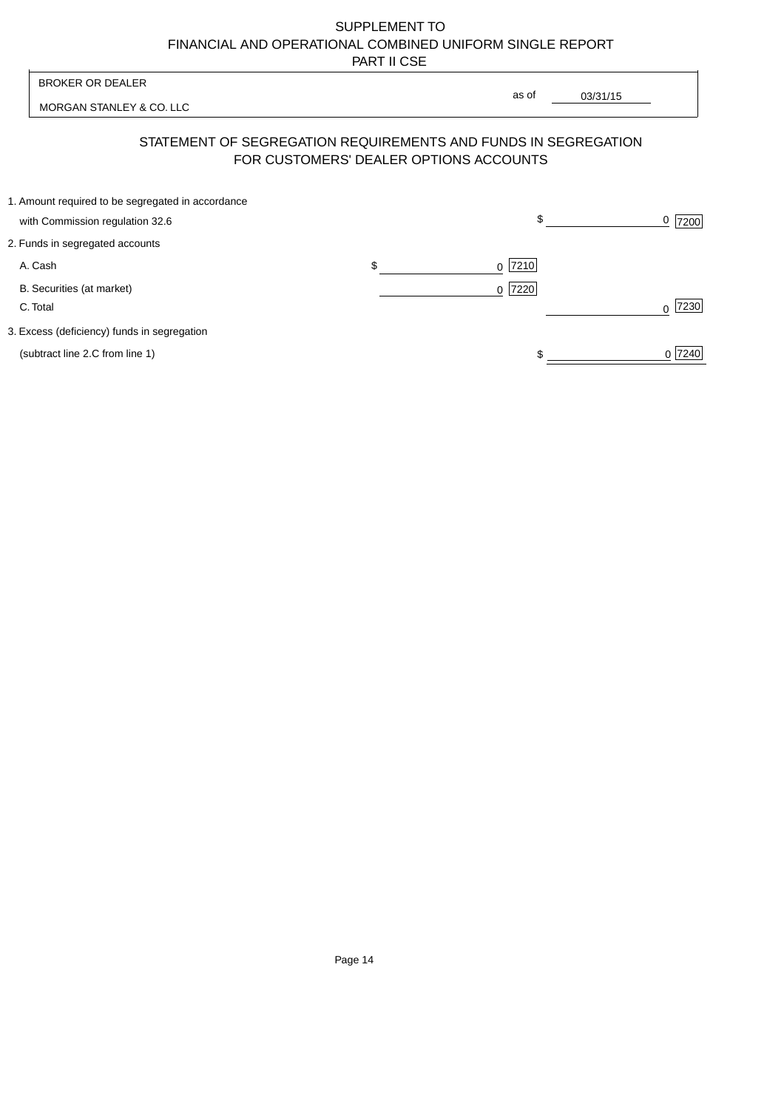| <b>BROKER OR DEALER</b>                                                                                  | as of                    |          |                |
|----------------------------------------------------------------------------------------------------------|--------------------------|----------|----------------|
| MORGAN STANLEY & CO. LLC                                                                                 |                          | 03/31/15 |                |
| STATEMENT OF SEGREGATION REQUIREMENTS AND FUNDS IN SEGREGATION<br>FOR CUSTOMERS' DEALER OPTIONS ACCOUNTS |                          |          |                |
| 1. Amount required to be segregated in accordance                                                        |                          |          |                |
| with Commission regulation 32.6                                                                          | \$                       |          | <u>0</u>  7200 |
| 2. Funds in segregated accounts                                                                          |                          |          |                |
| A. Cash                                                                                                  | \$<br> 7210 <br>$\Omega$ |          |                |
| B. Securities (at market)                                                                                | 7220<br>0                |          |                |
| C. Total                                                                                                 |                          |          | 7230           |
| 3. Excess (deficiency) funds in segregation                                                              |                          |          |                |
| (subtract line 2.C from line 1)                                                                          |                          |          | 0 7240         |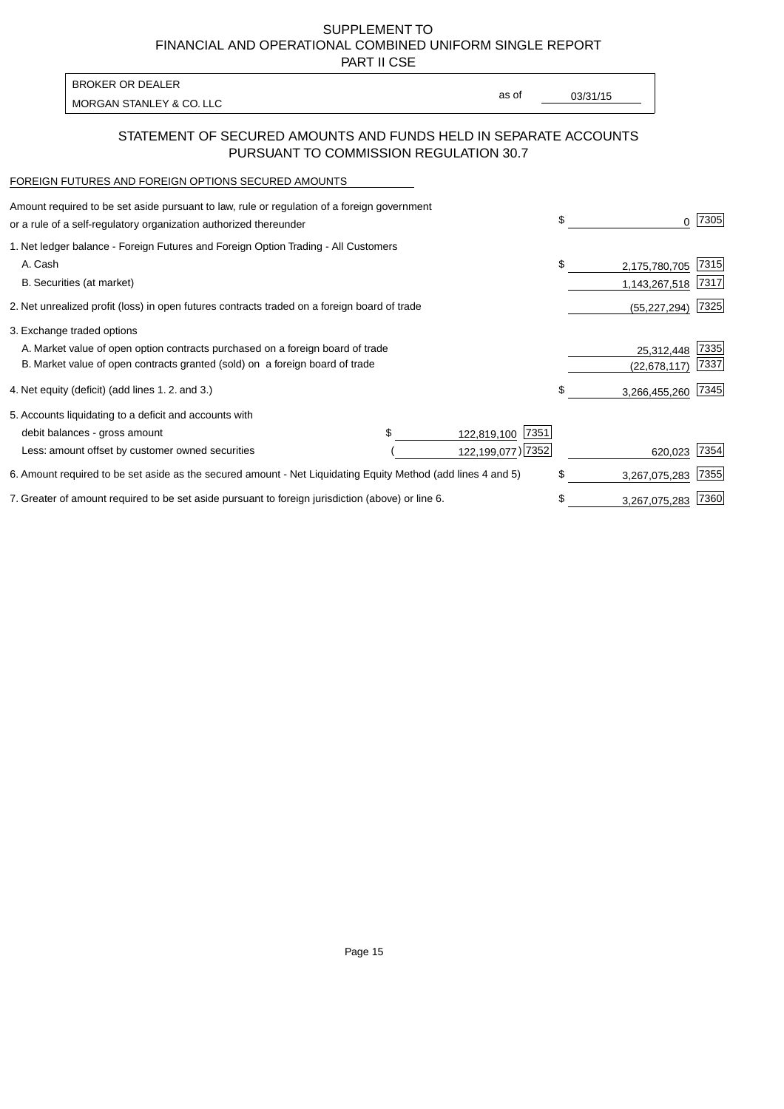PART II CSE

| BROKER OR DEALER         |       |          |
|--------------------------|-------|----------|
| MORGAN STANLEY & CO. LLC | as of | 03/31/15 |
|                          |       |          |

### STATEMENT OF SECURED AMOUNTS AND FUNDS HELD IN SEPARATE ACCOUNTS PURSUANT TO COMMISSION REGULATION 30.7

#### FOREIGN FUTURES AND FOREIGN OPTIONS SECURED AMOUNTS

| \$<br>0             | 7305 |
|---------------------|------|
|                     |      |
| \$<br>2,175,780,705 | 7315 |
| 1,143,267,518       | 7317 |
| (55, 227, 294)      | 7325 |
|                     |      |
| 25,312,448          | 7335 |
| (22, 678, 117)      | 7337 |
| \$<br>3,266,455,260 | 7345 |
|                     |      |
|                     |      |
| 620,023             | 7354 |
| \$<br>3,267,075,283 | 7355 |
| \$<br>3,267,075,283 | 7360 |
| 122,199,077) 7352   |      |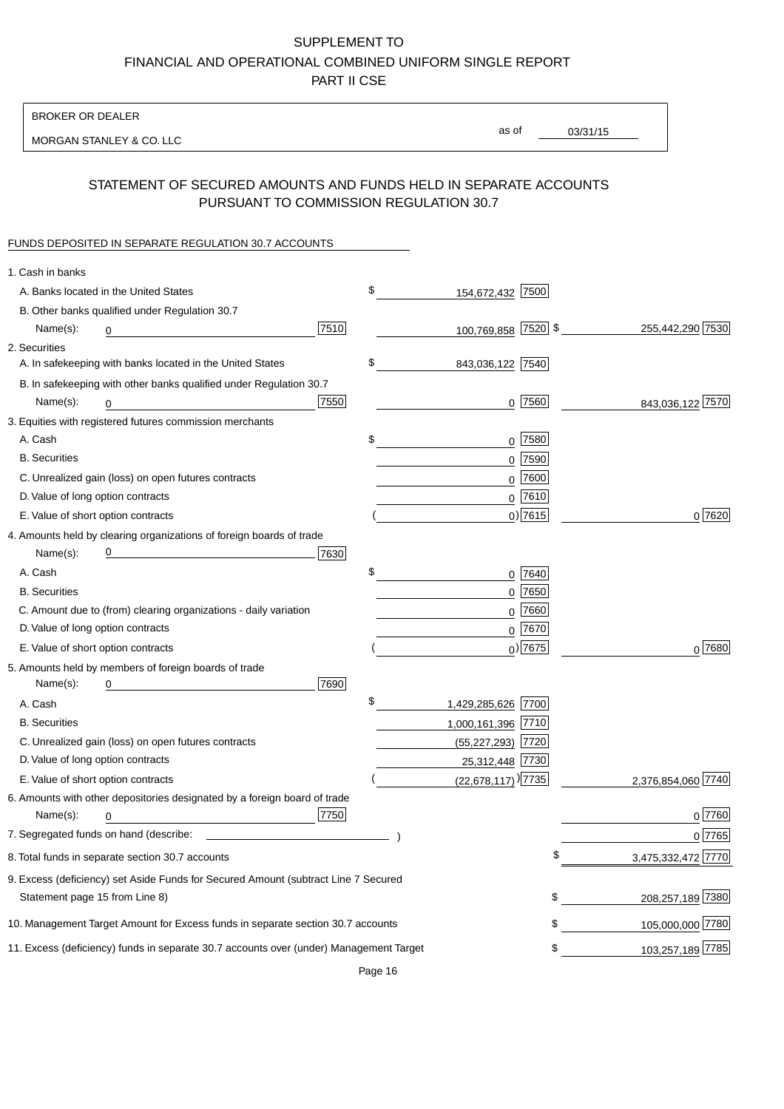BROKER OR DEALER

MORGAN STANLEY & CO. LLC

03/31/15 as of

# STATEMENT OF SECURED AMOUNTS AND FUNDS HELD IN SEPARATE ACCOUNTS PURSUANT TO COMMISSION REGULATION 30.7

### FUNDS DEPOSITED IN SEPARATE REGULATION 30.7 ACCOUNTS

| 1. Cash in banks                   |                                                                                                                      |      |                          |             |                    |
|------------------------------------|----------------------------------------------------------------------------------------------------------------------|------|--------------------------|-------------|--------------------|
|                                    | A. Banks located in the United States                                                                                |      | \$<br>154,672,432 7500   |             |                    |
|                                    | B. Other banks qualified under Regulation 30.7                                                                       |      |                          |             |                    |
| Name(s):                           | 0                                                                                                                    | 7510 | 100,769,858 7520 \$      |             | 255,442,290 7530   |
| 2. Securities                      |                                                                                                                      |      |                          |             |                    |
|                                    | A. In safekeeping with banks located in the United States                                                            |      | \$<br>843,036,122 7540   |             |                    |
|                                    | B. In safekeeping with other banks qualified under Regulation 30.7                                                   |      |                          |             |                    |
| Name(s):                           | 0                                                                                                                    | 7550 |                          | $0$ 7560    | 843,036,122 7570   |
|                                    | 3. Equities with registered futures commission merchants                                                             |      |                          |             |                    |
| A. Cash                            |                                                                                                                      |      | \$                       | $0$ 7580    |                    |
| <b>B.</b> Securities               |                                                                                                                      |      |                          | $0$ 7590    |                    |
|                                    | C. Unrealized gain (loss) on open futures contracts                                                                  |      |                          | $0$ 7600    |                    |
| D. Value of long option contracts  |                                                                                                                      |      |                          | $0$ 7610    |                    |
| E. Value of short option contracts |                                                                                                                      |      |                          | $0$ ) 7615  | 0 7620             |
|                                    | 4. Amounts held by clearing organizations of foreign boards of trade                                                 |      |                          |             |                    |
| Name(s):                           | <u> 1989 - Johann Barn, mars eta bat erroman erroman erroman erroman erroman erroman erroman erroman erroman err</u> | 7630 |                          |             |                    |
| A. Cash                            |                                                                                                                      |      | \$                       | 0 7640      |                    |
| <b>B.</b> Securities               |                                                                                                                      |      |                          | $0$ 7650    |                    |
|                                    | C. Amount due to (from) clearing organizations - daily variation                                                     |      |                          | $0$ 7660    |                    |
| D. Value of long option contracts  |                                                                                                                      |      |                          | $0^{7670}$  |                    |
|                                    | E. Value of short option contracts                                                                                   |      |                          | $_0$ ) 7675 | $0^{7680}$         |
|                                    | 5. Amounts held by members of foreign boards of trade                                                                |      |                          |             |                    |
| Name(s):                           | 0                                                                                                                    | 7690 |                          |             |                    |
| A. Cash                            |                                                                                                                      |      | \$<br>1,429,285,626 7700 |             |                    |
| <b>B.</b> Securities               |                                                                                                                      |      | 1,000,161,396 7710       |             |                    |
|                                    | C. Unrealized gain (loss) on open futures contracts                                                                  |      | (55,227,293) 7720        |             |                    |
| D. Value of long option contracts  |                                                                                                                      |      | 25,312,448 7730          |             |                    |
|                                    | E. Value of short option contracts                                                                                   |      | $(22,678,117)$ ) 7735    |             | 2,376,854,060 7740 |
|                                    | 6. Amounts with other depositories designated by a foreign board of trade                                            |      |                          |             |                    |
| Name(s):                           | 0                                                                                                                    | 7750 |                          |             | 0 7760             |
|                                    |                                                                                                                      |      |                          |             | 0 7765             |
|                                    | 8. Total funds in separate section 30.7 accounts                                                                     |      |                          | \$          | 3,475,332,472 7770 |
|                                    | 9. Excess (deficiency) set Aside Funds for Secured Amount (subtract Line 7 Secured                                   |      |                          |             |                    |
| Statement page 15 from Line 8)     |                                                                                                                      |      |                          | \$          | 208,257,189 7380   |
|                                    | 10. Management Target Amount for Excess funds in separate section 30.7 accounts                                      |      |                          | \$          | 105,000,000 7780   |
|                                    | 11. Excess (deficiency) funds in separate 30.7 accounts over (under) Management Target                               |      |                          | \$          | 103,257,189 7785   |
|                                    |                                                                                                                      |      |                          |             |                    |